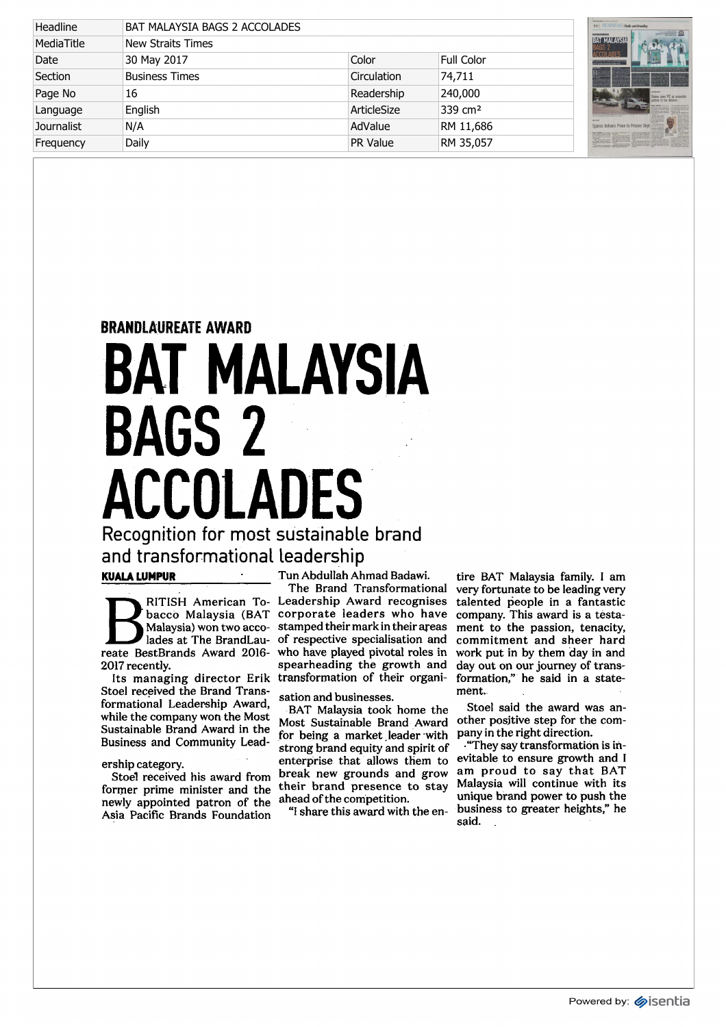| Headline          | BAT MALAYSIA BAGS 2 ACCOLADES |                    |                     |  |
|-------------------|-------------------------------|--------------------|---------------------|--|
| MediaTitle        | <b>New Straits Times</b>      |                    |                     |  |
| Date              | 30 May 2017                   | Color              | <b>Full Color</b>   |  |
| Section           | <b>Business Times</b>         | <b>Circulation</b> | 74,711              |  |
| Page No           | 16                            | Readership         | 240,000             |  |
| Language          | English                       | ArticleSize        | 339 cm <sup>2</sup> |  |
| <b>Journalist</b> | N/A                           | AdValue            | RM 11,686           |  |
| Frequency         | Daily                         | <b>PR Value</b>    | RM 35,057           |  |



## BRANDLAUREATE AWARD BAT MALAYSIA BAGS 2 ACCOLADES Recognition for most sustainable brand

and transformational leadership

## KUALA LUMPUR"

bacco Malaysia (BAT Malaysia) won two accoreate BestBrands Award 2016 2017 recently.

Its managing director Erik Stoel received the Brand Transformational Leadership Award, while the company won the Most Sustainable Brand Award in the Business and Community Lead-

## ership category.

Stoel received his award from former prime minister and the newly appointed patron of the Asia Pacific Brands Foundation

Tun Abdullah Ahmad Badawi.

RITISH American To- Leadership Award recognises lades at The BrandLau-of respective specialisation and The Brand Transformational corporate leaders who have stamped their mark in their areas who have played pivotal roles in spearheading the growth and transformation of their organi-

sation and businesses.

BAT Malaysia took home the Most Sustainable Brand Award for being a market leader with strong brand equity and spirit of enterprise that allows them to break new grounds and grow their brand presence to stay ahead of the competition.

"I share this award with the en-

tire BAT Malaysia family. I am very fortunate to be leading very talented people in a fantastic company. This award is a testament to the passion, tenacity, commitment and sheer hard work put in by them day in and day out on our journey of transformation," he said in a statement.

Stoel said the award was another positive step for the company in the right direction.

■'They say transformation is inevitable to ensure growth and I am proud to say that BAT Malaysia will continue with its unique brand power to push the business to greater heights," he said.